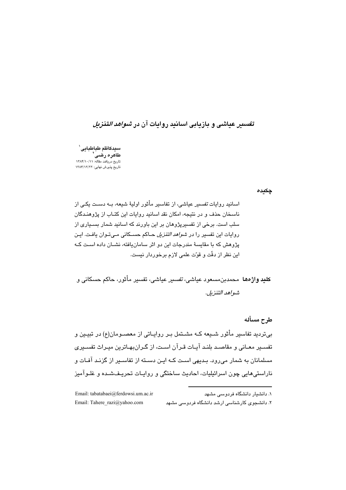# ت*فسی*ر عیاشی و بازیابی اسانید روایات آن در *شواهد التنزیل*

سيدكاظم طباطبايي` طاهره رضى تاریخ دریافت مقاله: ۱۳۸۴/۱۰/۱۱ ۔<br>تاریخ پذیرش نهایی: ۱۳۸۴/۱۲/۲۲

چکیدہ

اسانید روایات تفسیر عیاشی، از تفاسیر مأثور اولیهٔ شیعه، بــه دســت یکـی از ناسخان حذف و در نتیجه، امکان نقد اسانید روایات این کتباب از پژوهنیدگان سلب است. برخی از تفسیرپژوهان بر این باورند که اسانید شمار بسـیاری از روایات این تفسیر را در *شواهد التنزیل* حـاکم حسـکانی مـیتـوان یافـت. ایـن پژوهش که با مقایسهٔ مندرجات این دو اثر سامانبافته، نشــان داده اسـت کــه اين نظر از دقّت و قوّت علمي لازم برخوردار نيست.

**کلید واژهها** محمدبن،مسعود عیاش*ی، تفسی*ر عیاش*ی،* تفسیر مأثور، حاکم حسکانی و شواهد التنزيل.

طرح مسأله بی تردید تفاسیر مأثور شـیعه کـه مشـتمل بـر روایـاتی از معصـومان(ع) در تبیـین و تفسیر معیانی و مقاصید بلنید آبیات قرآن است، از گیران،هیاترین میراث تفسیری مسلمانان به شمار می رود. بـدیهی اسـت کـه ایـن دسـته از تفاسـیر از گزنـد آفـات و .<br>ناراستی،ایی چون اسرائیلیات، احادیث ساختگی و روایـات تحریـفـشـده و غلـوآمیز

| Email: tabatabaei@ferdowsi.um.ac.ir | ۱. دانشیار دانشگاه فردوسی مشهد               |
|-------------------------------------|----------------------------------------------|
| Email: Tahere razi@yahoo.com        | ۲. دانشجوی کارشناسی ارشد دانشگاه فردوسی مشهد |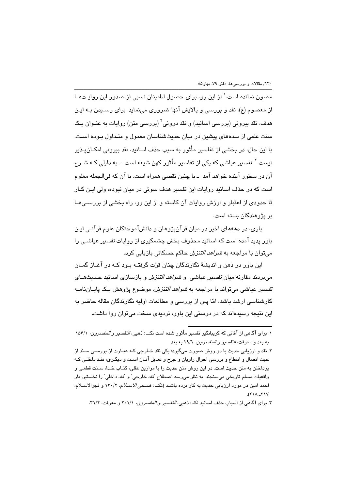مصون نمانده است.' از این رو، برای حصول اطمینان نسبی از صدور این روایـتهـا از معصوم (ع)، نقد و بررسی و پالایش آنها ضروری مینماید. برای رسـیدن بــه ایــن هدف، نقد بیرونی (بررسی اسانید) و نقد درونی<sup>۲</sup> (بررسی متن) روایات به عنـوان یـک سنت علمی از سدههای پیشین در میان حدیثشناسان معمول و متـداول بـوده اسـت. با این حال، در بخشی از تفاسیر مأثور به سبب حذف اسانیه، نقد بیرونی امکـانِیـذیر نیست.<sup>۳</sup> ت*فسیر* عیاشی که یکی از تفاسیر مأثور کهن شیعه است ـ به دلیلی کـه شــرح آن در سطور آینده خواهد آمد ۱ـ با چنین نقصی همراه است. با آن که فیالجمله معلوم است که در حذف اسانید روایات این تفسیر هدف سوئی در میان نبوده، ولی ایـن کـار تا حدودی از اعتبار و ارزش روایات آن کاسته و از این رو، راه بخشی از بررسـیهـا پر پژوهندگان بسته است.

پاری، در دهههای اخیر در میان قرآنپژوهان و دانشآموختگان علوم قرآنبی این باور پدید آمده است که اسانید محذوف بخش چشمگیری از روایات *تفسیر* عیاشـ*ی* را می توان با مراجعه به *شواهد التنزیل* حاکم حسکانی بازیابی کرد.

این پاور در ذهن و اندیشهٔ نگارندگان چنان قوّت گرفتیه سود کیه در آغیاز گمیان می بردند مقارنه میان *تفسیر* عیاشی و *شواهد التنزیل* و بازسازی اسانید حـدیثهـای تفسیر عیاشی میتواند با مراجعه به *شواهد التنزیل،* موضوع پژوهش یک پایـانiامـه کارشناسی ارشد باشد، امّا پس از بررسی و مطالعات اولیه نگارندگان مقاله حاضر به این نتیجه رسیدهاند که در درستی این باور، تردیدی سخت میتوان روا داشت.

١. براي آگاهي از آفاتي كه گريبانگير تفسير مأثور شده است نكــ : ذهبي، *التفسير و المفسرون،* ١٥۶/١ به بعد و معرفت، *التفسير و المفسرون،* ٢٩/٢ به بعد.

۲۔ نقد و ارزیابی حدیث با دو روش صورت می،گیرد: یکی نقد خــارجی کــه عبــارت از بررســی ســند از حیث اتصال و انقطاع و بررسی احوال راویان و جرح و تعدیل آنـان اسـت و دیگـری، نقـد داخلـی کـه پرداختن به متن حدیث است. در این روش متن حدیث را با موازین عقلی، کتـاب خـدا، سـنت قطعـی و واقعيات مسلم تاريخي مي سنجند. به نظر مي رسد اصطلاح "نقد خارجي" و "نقد داخلي" را نخستين بار احمد امین در مورد ارزیابی حدیث به کار برده باشـد (نکــ : ضـ*ـحی الاســلام، ١*٣٠/٢ و فجرالاســلام،  $YY - \Lambda YY$ 

۳. برای آگاهی از اسباب حذف اسانید نک: ذهبی، *التفسیر و المفسرون،* ۲۰۱/۱ و معرفت، ۳۱/۲.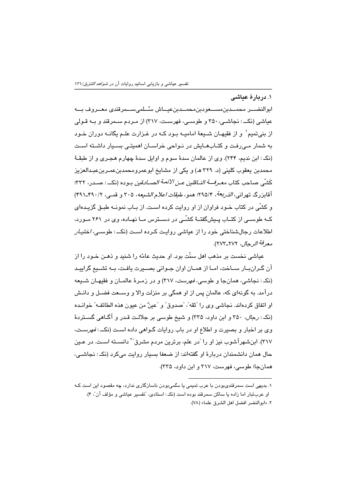١. در بارهٔ عباشی

ابوالنضـــر محمـــدبن،مســـعودبن،محمـــدبنءيـــاش سـُــلمے،ســـمرقندی معـــروف بـــه عیاشی (نکـ : نجاشـی، ۳۵۰ و طوسـی، فهرسـت، ۳۱۷) از مـردم سـمرقند و بـه قـولی از بنيتميم` و از فقيهـان شــيعهٔ اماميــه بـود كــه در غـزارت علــم يگانــه دوران خــود به شمار مـی(فت و کتـابهـایش در نـواحی خراسـان اهمیتـی بسـیار داشـته اسـت (نکـ : ابن ندیم، ۲۴۴). وی از عالمان سدهٔ سوم و اوایل سدهٔ چهارم هجـری و از طبقـهٔ محمدبن يعقوب كليني (د. ٣٢٩ هـ) و يكي از مشايخ ابوعمرومحمدبنعمـربنعبـدالعزيز كَشّي صاحب كتاب *معـرفـــة النــاقلين عـن <sup>ا</sup>لأئمـة الصــادقين* بــوده (نكـــ : صــدر، ٣٢٢: آقايزرگ تهراني، *الذريعة، ٢٩٥/٢*؛ همو، *طبقات اعلام الشبعه*، ٣٠٥ و قصبي، ٣٩٠/٢٩١/٢) و کشّی در کتاب خـود فراوان از او روایت کرده اسـت. از پیاب نمونیه طبـق گزیـدهای کــه طوســی از کتــاب پــیشگفتــهٔ کشّــی در دســترس مــا نهــاده، وی در ۲۶۱ مــورد، اطلاعات رجالشناختی خود را از عیاشی روایت کـرده اسـت (نکــ : طوسـی، *ا*ختیـ*ار* معرفة الرحال، ٢٧٢-٢٧٣).

عياشي نخست بر مذهب اهل سنّت بود. او حديث عامّه را شنيد و ذهـن خـود را از آن گـرانبــار ســاخت، امــا از همــان اوان جــوانی بصــيرت يافـت، بــه تشــيع گراييــد (نکـ : نجاشی، همانجا و طوسی، *فهرست*، ۳۱۷) و در زمـرهٔ عالمـان و فقیهـان شـیعه درآمد. به گونهای که، عالمان پس از او همگی بر منزلت والا و وســعت فضـل و دانـش او اتفاق كرياهاند. نجاشي وي را "ثقه"، "صدوق" و "عينٌ من عبون هذه الطائف»" خوانيده (نکه: رجال، ۳۵۰ و ابن داود، ۳۳۵) و شیخ طوسی بر جلالت قدر و آگـاهی گسـتردهٔ وی بر اخبار و بصیرت و اطلاع او در باب روایات گـواهی داده اسـت (نکـــ *: فهرسـت*، ٣١٧). ابنشهرآشوب نیز او را "در علم، برترین مردم مشرق<sup>"۲</sup> دانسـته اسـت. در عـین حال همان دانشمندان دربارهٔ او گفتهاند: از ضعفا بسیار روایت میکرد (نکـ : نجاشــی، همانجا؛ طوسی، فهرست، ۳۱۷ و این داود، ۳۳۵).

۱. بدیهی است سمرقندی،بودن با عرب تمیمی یا سُلُمی،بودن ناسازگاری ندارد، چه مقصود این است کـه او عربتبار اما زاده یا ساکن سمرقند بوده است (نک: استادی، "تفسیر عیاشی و مؤلف آن"، ۴). ٢. «ابوالنضر افضل اهل الشرق علما» (٧٨).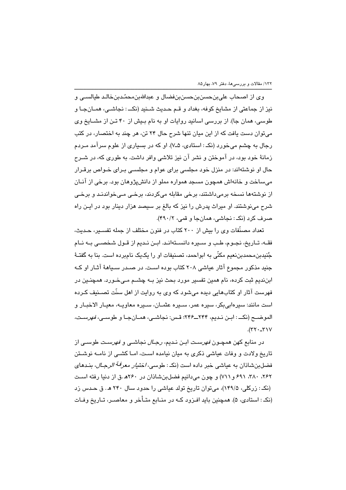وي از اصحاب علي بن حسن بن حسن بن فضال و عبدالله بن محمّدبن خالـد طيالســي و نيز از جماعتي از مشايخ كوفه، بغداد و قـم حـديث شـنيد (نكـــ : نجاشــي، همــانجــا و طوسی، همان جا). از بررسی اسانید روایات او به نام بیش از ۴۰ تـن از مشـایخ وی میتوان دست یافت که از این میان تنها شرح حال ۲۴ تن، هر چند به اختصار، در کتب رجال به چشم میخورد (نکـ : استادی، ۷ـ۷). او که در بسیاری از علوم سرآمد مـردم زمانهٔ خود بود، در آموختن و نشر آن نیز تلاشی وافر داشت. به طوری که، در شـرح حال او نوشتهاند: در منزل خود مجلسی برای عوام و مجلسـی بـرای خـواص برقـرار می،ساخت و خانهاش همچون مسجد همواره مملو از دانش،پژوهان بود. برخی از آنــان از نوشتهها نسخه برمی،داشتند، برخی مقابله میکردند، برخـی مـیخواندنـد و برخـی شرح میفوشتند. او میراث پدرش را نیز که بالغ بر سیصد هزار دینار بود در ایـن راه صرف کرد (نک: نجاشی، همانجا و قمی، ۴۹۰/۲).

تعداد مصنّفات وی را بیش از ۲۰۰ کتاب در فنون مختلف از جمله تفسـیر، حـدیث، فقـه، تــاريخ، نجــوم، طــب و ســيره دانســتهانـد. ابــن نــديم از قــول شخصــي بــه نــام جُنيدبن،حمدبنِ نعيم مکنّي به ابواحمد، تصنيفات او را يکيک نامبرده است. بنا به گفتـهٔ جنید مذکور مجموع آثار عیاشی ۲۰۸ کتاب بوده است. در صـدر سـیاههٔ آثـار او کـه ابننديم ثبت كرده، نام همين تفسير مورد بحث نيز بـه چشــم مــىخـورد. همچنــين در فهرست آثار او کتابهایی دیده می شود که وی به روایت از اهل سنّت تصـنیف کـرده است مانند: سیرهایی بکر، سیره عمر، سـیره عثمـان، سـیره معاویـه، معیـار الاخبـار و الموضــح (نكـــ : ابـن نـديم، ٢۴۴ــ٢۴۶؛ قـس: نجاشـي، همــانجــا و طوســي، *فهرسـت،*  $(55 - 5)$ 

در منابع کهن همچــون *فهرســت* ابــن نــدیم، *رجــال* نجاشــی و *فهرسـت* طوســی از تاریخ ولادت و وفات عباشی ذکری به مبان نبامده است، امبا کشبی از نامیه نوشیتن فضلبنشاذان به عياشي خبر داده است (نکـ : طوس*ي، اختيار معرفـهٔ الرجـال*، بنـدهاي ٢۶٢، ٣٨٠، ٤٩٦ و ٧١١) و چون مي دانيم فضلبن شاذان در ٢۶٠هـ.ق از دنيا رفته است (نکـ : زرکلی، ۱۴۹/۵)، میتوان تاریخ تولد عیاشی را حدود سال ۲۴۰ هـ. ق حـدس زد (نک : استادی، ۵). همچنین باید افـزود کـه در منــابع متــأخر و معاصــر، تــاریخ وفــات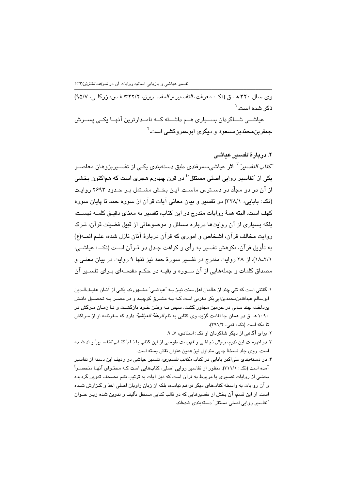وى سال ٣٢٠ هـ. ق (نكـ : معرفت، التفسير و المفسـرون، ٣٢٢/٢: قـس: زركلـى، ٩٥/٧) ذکر شدہ است.`

عیاشــی شــاگردان بســیاری هــم داشــته کــه نامــدارترین آنهــا یکــی پســرش حعفر بن محمّدبن مسبعو د و ِ دیگر ی ابو عمر و کشبی است.<sup>۲</sup>

۲. در پارهٔ تقسیر عباشی ٔ *کتاب التفسین*ٌ <sup>۲</sup> اثر عیاشی،سرقندی طبق دستهبندی یکـی از تفســیرپژوهان معاصــر یکی از "تفاسیر روایی اصلی مستقل"<sup>؛</sup> در قرن چهارم *ه*جری است که هماکنون بخشی از آن در دو مجلّد در دسـترس ماسـت. ایـن بخـش مشـتمل بـر حـدود ۲۶۹۳ روایـت (نکه : بابایی، ۳۲۸/۱) در تفسیر و بیان معانی آیات قرآن از سوره حمد تا پایان سوره كهف است. البته همهٔ روایات مندرج در این كتاب، تفسیر به معنای دقیـق كلمــه نیســت، بلکه بسیاری از آن روایتها درباره مسائل و موضوعاتی از قبیل فضیلت قرآن، تـرک روایت مخالف قرآن، اشخاص و اموری که قرآن دربارهٔ آنان نازل شده، علـم ائمــه(ع) به تأویل قرآن، نکوهش تفسیر به رأی و کراهت جـدل در قـرآن اسـت (نکــ : عیاشـی، ٢/١٨ـ١٨). از ٢٨ روايت مندرج در تفسير سورهٔ حمد نيز تنها ٩ روايت در بيان معنى و مصداق کلمات و جملههایی از آن سـوره و بقیـه در حکـم مقدمـهای بـرای تفسـیر آن

۲. برای آگاهی از دیگر شاگردان او نکه: استادی، ۷ـ ۹.

١. گفتنی است که تنی چند از عالمان اهل سنت نیـز بـه "عیاشـی" مشــهورند. یکـی از آنـان عفیـفالـدین ابوسالم عبداللهبن،حمدبنابی،بکر مغربی است کـه بـه مشـرق کوچیـد و در مصـر بـه تحصـیل دانـش پرداخت، چند سالی در حرمین مجاور گشت، سپس بـه وطـن خـود بازگشـت و تـا زمـان مـرگش در ۱۰۹۰ هـ. ق در همان جا اقامت گزید. وی کتابی به نام *الرحلة العیاشیة* دارد که سفرنامه او از مـراکش تا مكه است (نكه: قمى، ٣٩١/٢).

۳. در *فهرست* ابن ندیم، *رجال* نجاشی و *فهرست* طوسی از این کتاب با نـام *ً کتـاب التفســیر*" یـاد شــده است. روی جلد نسخهٔ چایی متداول نیز همین عنوان نقش بسته است.

۴. در دستهبندی علیاکبر بابایی در کتاب *مکاتب تفسیری،* تفسیر عیاشی در ردیف این دسته از تفاسیر آمده است (نکـ : ۳۱۱/۱). منظور از تفاسیر روایی اصلی، کتابهایی است کـه محتـوای آنهـا منحصـراً بخشی از روایات تفسیری یا مربوط به قرآن است که ذیل آیات به ترتیب نظم مصحف تدوین گردیده و آن روایات به واسطه کتابهای دیگر فراهم نیامده، بلکه از زبان راویان اصلی اخذ و گـزارش شـده است. از این قسم، آن بخش از تفسیرهایی که در قالب کتابی مستقل تألیف و تدوین شده زیـر عنـوان ّتفاسیر روایی اصلی مستقل" دستهبندی شدهاند.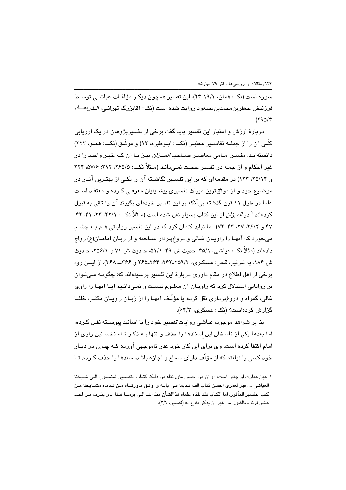سوره است (نکـ : همان، ۱۹/۱-۲۴). این تفسیر همچون دیگـر مؤلفـات عیاشـی توسـط فرزندش جعفربن،حمدبن،مسعود روايت شده است (نکـ : آقابزرگ تهران*ـي، الـذريعـــة،*  $(590)^*$ 

دربارهٔ ارزش و اعتبار این تفسیر باید گفت برخی از تفسیریژوهان در یک ارزیابی كلّـي آن را از جملــه تفاســير معتبـر (نكـــ : ابــوطبره، ٩٢) و موشّـق (نكـــ : همــو، ٢٢٣) دانستهانـد. مفسـر امـامی معاصـر صـاحب *المیـزان* نیـز بـا آن کـه خبـر واحـد را در غیر احکام و از جمله در تفسیر حجت نمـی،دانـد (مـثلاً نکــ : ۲۵۵/۵، ۲۹۲؛ ۵۷/۶، ۲۲۴ و ۲۵/۱۴، ۱۳۳) در مقدمهای که بر این تفسـیر نگاشـته آن را یکـی از بهتـرین آثـار در موضوع خود و از موثقترین میراث تفسیری پیشـینیان معرفـی کـرده و معتقـد اسـت علما در طول ۱۱ قرن گذشته بی آنکه بر این تفسیر خردهای بگیرند آن را تلقی به قبول کردهاند. <sup>۱</sup> در *المیزان* از این کتاب بسیار نقل شده است (مـثلاً نکــ : ۲۱/ ۲۲، ۲۲، ۴۱، ۴۲، ۴۷ و ۲۶/۲، ۲۷، ۴۳، ۷۲)، اما نباید کتمان کرد که در این تفسیر روایاتی هـم بـه چشـم می خورد که آنهـا را راویـان غـالی و دروغیـرداز سـاخته و از زیـان امامـان(ع) رواج دادهاند (مثلاً نک : عیاشی، ۴۵/۱، حدیث ش ۴۹؛ ۵۱/۱، حـدیث ش ۷۱ و ۲۵۶/۱، حــدیث ش ١٨۶. به ترتيب قس: عسكري، ٢٥٩/٣-٢٤٢، ٢۶۴هـ٢۶٥ و ٣۶۶ـــــ ٣۶٨). از ايـــن رو، برخی از اهل اطلاع در مقام داوری دربارهٔ این تفسیر پرسیدهاند که: چگونــه مــ تـوان بر روایاتی استدلال کرد که راویـان آن معلـوم نیسـت و نمـی،دانـیم آیـا آنهـا را راوی غالی، گمراه و دروغ دریازی نقل کرده یا مؤلّف آنها را از زبیان راوییان مکتب خلفا گزارش کردهاست؟ (نکه: عسکری، ۶۴/۳).

بنا بر شواهد موجود، عیاشی روایات *تفسیر* خود را با اسانید پیوســته نقـل کـرده، اما بعدها یکی از ناسخان این اسنادها را حذف و تنها بـه ذکـر نـام نخسـتین راوی از امام اکتفا کرده است. وی برای این کار خود عذر ناموجهی آورده کـه چـون در دیـار خود کسی را نیافتم که از مؤلّف دارای سماع و اجازه باشد، سندها را حذف کـردم تـا

١. عين عبارت او چنين است: «و ان من احسن ماورثناه من ذلك كتـاب التفسـير المنسـوب الـي شـيخنا العياشي .... فهر لعمري احسن كتاب الف قديما في بابـه و اوشق ماورثنـاه مـن قـدماه مشـايخنا مـن كتب التفسير المأثور. اما الكتاب فقد تلقاه علماه هذاالشأن منذ الف الـى يومنــا هــذا ــ و يقـرب مــن احــد عشر قرنا ـ بالقبول من غير ان يذكر بقدح...» (تفسير، ٢/١).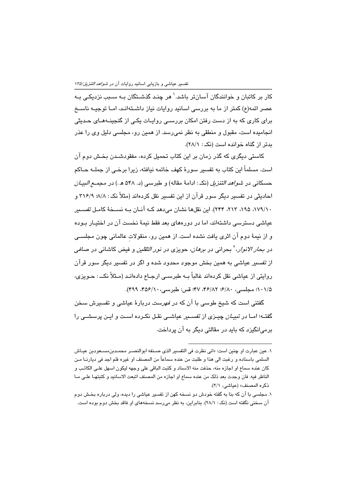کار بر کاتبان و خوانندگان آسانتر باشد.<sup>\</sup> هر چنـد گذشــتگان بـه سـبب نزدیکـی بـه عصر ائمه(ع) کمتر از ما به بررسی اسانید روایات نیاز داشــتهانـد، امــا توجیــه ناســخ برای کاری که به از دست رفتن امکان بررسـی روایـات یکـی از گنجینـههـای حـدیثی انجامیده است، مقبول و منطقی به نظر نمی رسد. از همین رو، مجلسی دلیل وی را عذر بدتر از گناه خوانده است (نکه: ۲۸/۱).

کاستی دیگری که گذر زمان بر این کتاب تحمیل کرده، مفقودشـدن بخـش دوم آن است. مسلماً این کتاب به تفسیر سورهٔ کهف خاتمه نیافته، زیرا برخـی از جملــه حــاکم حسکانی در *شواهد التنزیل* (نک : ادامهٔ مقاله) و طبرسی (د. ۵۴۸ هـ.) در *م*ج*مـــم البیــان* احادیثی در تفسیر دیگر سور قرآن از این تفسیر نقل کردهاند (مثلاً نکه: ۸/۸؛ ۳۱۶/۹ و ١٧٩/١٠، ١٩٥، ٢١٣، ٢۴۴). اين نقلها نشان مي دهد كـه آنـان بـه نســخة كامـل تفسـير عیاشی دسترسی داشتهاند، اما در دورههای بعد فقط نیمهٔ نخست آن در اختیـار بـوده و از نیمهٔ دوم آن اثری یافت نشده است. از همین رو، منقولات عالمانی چون مجلسـی در *بحار الانوار*، <sup>۲</sup> بحرانی در *برهان*، حویزی در ن*ور الثقلین* و فیض کاشانی در *صافی* از تفسیر عیاشی به همین بخش موجود محدود شده و اگر در تفسیر دیگر سور قرآن روایتی از عیاشی نقل کردهاند غالباً بــه طبرســی ارجــاع دادهانــد (مــثلاً نکــــ : حــویزی، ١٠١/٥؛ مجلسي، ٨٠/٤٠؛ ٣٢/٨٢، ۴٧؛ قس: طبرسي، ٢٥۶/١٠، ۴٩٩).

گفتنی است که شیخ طوسی با آن که در *فهرست* دربارهٔ عیاشی و تفسیرش سخن گفتـه؛ امــا در تبیــ*ان* چیــزی از تف*س*ــیر عیاشــی نقــل نکــرده اســت و ایــن پرسشــی را برمے انگیزد که باید در مقالتے دیگر به آن پرداخت.

١. عين عبارت او چنين است: «اني نظرت في التفسير الذي صـنـفه ابوالنصــر محمــدبن،مســعودبن عيــاش السلمي باسناده و رغبت الى هذا و طلبت من عنده سماعاً من المصنف او غيره فلم اجد في ديارنــا مـن كان عنده سماع او اجازه منه، حذفت منه الاسناد و كتبت الباقي على وجهه ليكون اسهل على الكاتب و الناظر فيه. فان وجدت بعد ذلك من عنده سماع او اجازه من المصنف اتبعت الاسانيد و كتبتهـا علـى مـا ذكره المصنف» (عياشي، ٢/١).

۱. مجلسی با آن که بنا به گفته خودش دو نسخه کهن از تفسیر عیاشی را دیده، ولی درباره بخش دوم آن سخنی نگفته است (نکه: ۲۸/۱). بنابراین، به نظر میرسد نسخههای او فاقد بخش دوم بوده است.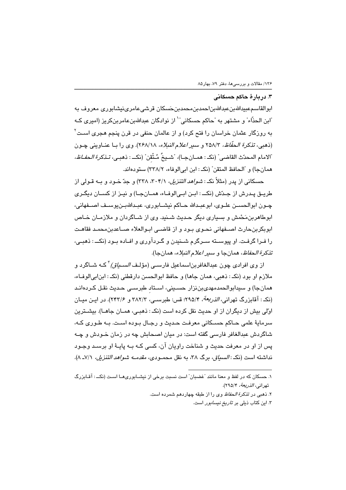## ۳. دریارهٔ حاکم حسکانی

ابوالقاسمعبيداللهبنعبداللهبناحمدبن،حصدبنخسكان قرشىءامرىنيشابوري معروف به "ابن الحذّاء" و مشتهر به "حاکم حسکانی"<sup>\</sup> از نوادگان عبداللهبنعامربنکریز (امیری کـه به روزگار عثمان خراسان را فتح کرد) و از عالمان حنفی در قرن پنجم *ه*جری اسـت<sup>۲</sup> (ذهبي، تذكرة الحفّاظ، ٢٥٨/٣ و سير اعلام النبلاء، ٢٤٨/١٨). وي را بـا عنــاويني چــون ّالامام المحدّث القاضي" (نكـ : همــان جـا)، "شــيخُ مُـتْقن" (نكــ : ذهبـي، *تـذكرة الـحفـاظ،* همانجا) و "الحافظ المتقن" (نكـ : ابن ابي الوفاء، ٢٣٨/٢) ستودهاند.

حسکانی از پدر (مثلاً نکه: *شواهد التنزیل، ۳۰۴*/۱، ۳۲۸) و حدّ خبود و بــه قبولی از طريــق پــدرش از جـدّش (نكـــ : ابــن ابــىالوفــاء، همــانجــا) و نيــز از كســان ديگــرى چـون ابوالحســن علــوي، ابوعبــدالله حــاكم نيشـــابوري، عبــداللهبــنيوســف اصـــفهاني، ابوطاهربن مَحْمش و بسیاری دیگر حدیث شـنید. وی از شـاگردان و ملازمـان خـاص ابوبكربنحارث اصـفهاني نحـوي بـود و از قاضـي ابـوالعلاء صــاعدبن،حمـد فقاهـت را فيرا گرفت. او پيوسيته سيرگرم شيندن و گيردآوري و افياده سود (نک) ذهبي، تذكرة *الحفاظ*، همانجا و *سير اعلام النبلاء*، همانجا).

از وی افرادی چون عبدالغافریناسماعیل فارسے (مؤلـف *السـباق)* <sup>۲</sup>کـه شــاگرد و ملازم او بود (نکـ : ذهبي، همان جاها) و حافظ ابوالحسن دارقطني (نکـ : ابنابي|لوفـاء، همانجا) و سيدابوالحمدمهدي بن نزار حسـيني، اسـتاد طبرسـي حـديث نقـل كـردهانـد (نک : آقابزرگ تهران*ی، الذریعة، ۲*۹۵/۴؛ قس: طبرسـی، ۳۸۲/۳ و ۲۴۳/۶). در ایـن میــان اوّلی بیش از دیگران از او حدیث نقل کرده است (نک : ذهبی، همـان جاهـا). بیشـترین سرمايةً علمي حـاكم حسـكاني معرفـت حـديث و رجـال بـوده اسـت. بـه طـوري كـه، شاگردش عبدالغافر فارسی گفته است: در مبان اصبحایش چه در زمان خبودش و چپه پس از او در معرفت حدیث و شناخت راویان آن، کسی کـه بـه پایـهٔ او برسـد وجـود نداشته است (نک: *السياق،* برگ ٣٨، به نقل محمـودي، *مقدمــه شواهد التنزيل، ٧/*١-٨).

۱. حسکان که در لفظ و معنا مانند "غضبان" است نسبت برخی از نیشـابوریهـا اسـت (نکــ : آقـابزرگ تهراني، *الذريعة*، ٢٩٥/٢).

۲. ذهبی در ت*ذکرة الحفاظ وی ر*ا از طبقه چهاردهم شمرده است.

۳. این کتاب ذیل*ی* بر *تاریخ نیسابور* است.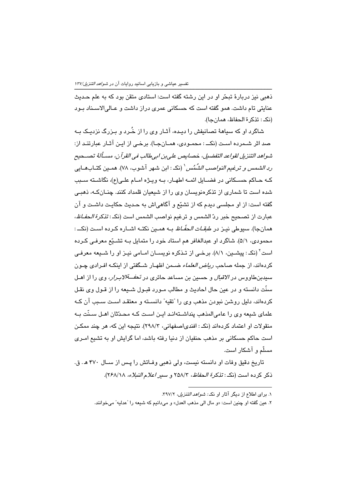ذهبی نیز دربارهٔ تبحّر او در این رشته گفته است: استادی متقن بود که به علم حـدیث عنایتی تام داشت. همو گفته است که حسکانی عمری دراز داشت و عـالیالاسـناد بـود (نک: تذکر ۃ الحفاظ، همان حا).

شاگرد او که سیاههٔ تصانیفش را دیـده، آثـار وی را از خُـرد و بـزرگ نزدیـک بـه صد اثر شـمرده اسـت (نکــ : محمـودی، همـانجـا). برخـی از ایـن آثـار عبارتنـد از: شواهد التنزيل لقواعد التفضيل، خصايص على بن ابي طالب في القرآن، مسـألةُ تصــحيح رِ الشيمس و ترغيم *النواصب الشُمُس* ' (نکه : ابن شهر آشوب، ٧٨). همـين کتــابهــايي کـه حـاکم حسـکانی در فضـایل ائمــه اطهـار، بــه ویـژه امــام علـی(ع)، نگاشــته ســبب شده است تا شماری از تذکرهنویسان وی را از شیعیان قلمداد کنند. چنـانکـه، ذهبـی گفته است: از او مجلسی دیدم که از تشیّع و آگاهی!ش به حـدیث حکایـت داشـت و آن عبارت از تصحيح خبر ردّ الشمس و ترغيم نواصب الشمس است (نكـ : *تذكر ة الحفـاظ،* همانجا). سبوطي نيـز در ط*بقـات الحفّـاظ* بـه همـين نكتـه اشــاره كـرده اسـت (نكــ : محمودي، ٥/١). شاگرد او عبدالغافر هم استاد خود را متمايل بـه تشـيّع معرفـي كـرده است ٔ (نک: پیشـین، ۸/۱). برخـی از تـذکره نویسـان امـامی نیـز او را شـیعه معرفـی کردهاند، از جمله صاحب *ریاض العلماء* ضــمن اظهـار شــگفتی از اینکــه افـرادی چـون سیدبنطاووس در *الاقبال* و حسین بن مساعد حائری در *تحف<sup>قب</sup>الابـرار، وی را* از ا*هـل* سنّت دانسته و در عین حال احادیث و مطالب مـورد قبـول شـیعه را از قـول وی نقـل کردهاند، دلیل روشن نبودن مذهب وی را "تقیه" دانسـته و معتقـد اسـت سـبـ آن کـه علمای شیعه وی را عامیِالمذهب پنداشتهاند این است کـه محـدّثان اهـل سـنّت بـه منقولات او اعتماد كردهاند (نكـ : افندى|صفهاني، ٢٩٨/٣). نتيجه اين كه، هر چند ممكن است حاکم حسکانی بر مذهب حنفیان از دنیا رفته باشد، اما گرایش او به تشیع امـری مسلّم و آشکار است.

تاريخ دقيق وفات او دانسته نيست، ولي ذهبي وفـاتش را يـس از سـال ۴۷۰ هـ. ق. ذكر كرده است (نكـ : تفكرة الحفاظ، ٢٥٨/٣ و سير اعلام النبلاء، ٢٤٨/١٨).

١. برای اطلاع از دیگر آثار او نک: *شواهد التنزیل، ٣٩٧/٢*.

۲. عين گفته او چنين است: «و مال الي مذهب العدل» و ميدانيم كه شيعه را "عدليه" ميخوانند.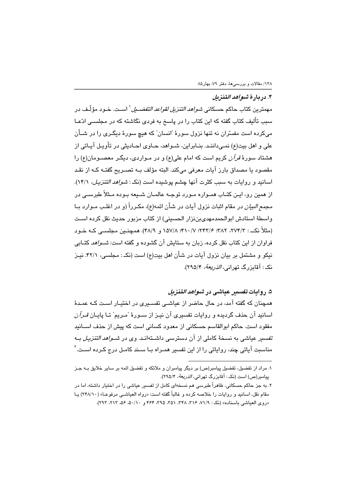## ۴. دريارهٔ *شواهد التنزيل*

مهمترين كتاب حاكم حسكان*ي شواهد التنزيل لقواعد التفضـيل* ` اسـت. خـود مؤلّـف در سبب تألیف کتاب گفته که این کتاب را در پاسخ به فردی نگاشته که در مجلسـی ادّعـا میکرده است مفسّران نه تنها نزول سورهٔ "انسان" که هیچ سورهٔ دیگـری را در شــأن علي و اهل بيت(ع) نمـي،داننـد. بنــابراين، شــواهد، حــاوي احــاديثي در تأويـل آيــاتي از هشتاد سورهٔ قرآن کریم است که امام علی(ع) و در مـواردی، دیگـر معصـومان(ع) را مقصود يا مصداق بارز آيات معرفي ميكند. البته مؤلف بــه تصـريح گفتـه كـه از نقـد اسانید و روایات به سبب کثرت آنها چشم یوشیده است (نک: *شواهد التنزیل، ۱۴/*۱). از همین رو، ایـن کتـاب همـواره مـورد توجـه عالمـان شـىعه ىـوده مـثلاً طد ســ ، در *مجمع البيان* در مقام اثبات نزول آيات در شأن ائمه(ع)، مكـرراً (و در اغلـب مـوارد بـا واسطة استادش ابوالحمدمهدي بن زار الحسيني) از كتاب مزبور حديث نقل كرده است (مثلاً نک : ۲/۳/۲، ۳۸۲؛ ۲۴۲/۶؛ ۰/۱۵۷/۸؛ ۱۵۷/۸ و ۴۸/۹). همچنــین مجلســی کــه خــو د فراوان از این کتاب نقل کرده، زبان به ستایش آن گشوده و گفته است: *شـواهد* کتـابی نیکو و مشتمل بر بیان نزول آیات در شأن اهل بیت(ع) است (نک: مجلسی، ۴۲/۱. نیـز نک: آقایزرگ تھران*ی، الذریعة، ۲۹۵/*۴).

# ۵. روايات تقسير عباشي در *شواهد التنزيل*

همچنان که گفته آمد، در حال حاضر از عیاشـی تفسـیری در اختیـار اسـت کـه عمـدهٔ اسانید آن حذف گردیده و روایات تفسیری آن نیـز از سـورهٔ "مـریم" تـا پایـان *قـرآن* مفقود است. حاکم ابوالقاسم حسکانی از معدود کسانی است که پیش از حذف اسـانید ت*فسیر* عیاشی به نسخهٔ کاملی از آن دسترسی داشـتهانـد. وی در *شـواهد التنزیـل* بـه مناسبت آیاتی چند، روایاتی را از این تفسیر همـراه بـا سـند کامـل درج کـرده اسـت.<sup>۲</sup>

١. مراد از تفضيل، تفضيل پيامبر(ص) بر ديگر پيامبران و ملائكه و تفضيل ائمه بر ساير خلايق بـه جـز پیامبر(ص) است (نک: آقابزرگ تهرانی، *الذریعة*، ۲۹۵/۴).

۲. به جز حاکم حسکانی، ظاهراً طبرسی هم نسخهای کامل از ت*فس*یر عیاشی را در اختیار داشته، اما در مقام نقل، اسانيد و روايات را خلاصه كرده و غالباً گفته است: «رواه العياشـي مرفوعـا» (٢۴٨/١٠) يـا «روی العیاشی باسناده» (نک: ۷۱/۹، ۳۱۶، ۳۲۸، ۵۲، ۳۵۵، ۴۶۴ و ۰/۱۰، ۵۶، ۲۱۲، ۲۹۲).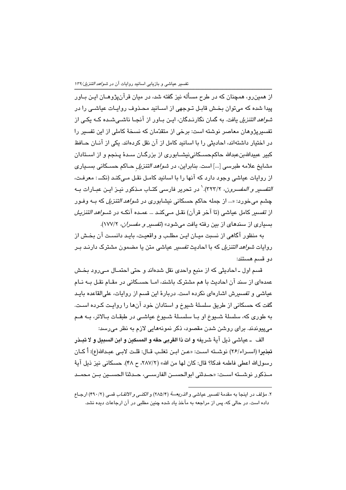از همین٫و، همچنان که در طرح مسأله نیز گفته شد، در میان قرآنپژوهــان ایــن بــاور پیدا شده که میتوان بخش قابـل تـوجهی از اسـانید محـذوف روایـات عیاشـی را در *شواهد التنزیل* یافت. به گمان نگارنـدگان، ایـن بــاور از آنجــا ناشــیشــده کــه یکـی از تفسیریژوهان معاصر نوشته است: برخی از متقدّمان که نسخهٔ کاملی از این تفسیر را در اختیار داشتهاند، احادیثی را با اسانید کامل از آن نقل کردهاند. یکی از آنــان حــافظ کبیر عبیداللهبنعبدالله حاکمحسـکانی،نیشــابوری از بزرگــان ســدهٔ پــنجم و از اســتادان مشایخ علامه طبرسی […] است. بنابراین، در *شواهد التنزیل* حـاکم حسـکانی بسـیاری از روایات عیاشی وجود دارد که آنها را با اسانید کامـل نقـل مـی کنـد (نکــ : معرفـت، *التفسير و المفسرون، ٢*٢٣/٢). ` در تحرير فارسي كتـاب مـذكور نيـز ايـن عبـارات بـه چشم می خورد: «... از جمله حاکم حسکانی نبشابوری در *شواهد التنزیل* که ب) وفور از تفسير كامل عياشي (تا آخر قرآن) نقل مـىكنـد ... عمـده آنكـه در *شـواهد ال*تنزي*ـل* بسیاری از سندهای از بین رفته یافت می شود» (ت*فسیر و مفسران، ۱*۷۷/۲).

به منظور آگاهی از نسبت میـان ایـن مطلـب و واقعیـت، بایـد دانسـت آن بخـش از روایات *شواهد التنزیل* که با احادیث *تفسی*ر عیاشی متن یا مضمون مشترک دارنـد بـر دو قسم هستند:

قسم اول ـ احادیثی که از منبع واحدی نقل شدهاند و حتی احتمـال مـیرود بخـش عمدهای از سند آن احادیث با هم مشترک باشند، امـا حسـکانی در مقـام نقـل بـه نـام عیاشی و تفسیرش اشاردای نکرده است. دربارهٔ این قسم از روایات، علیالقاعده بایـد گفت که حسکانی از طریق سلسلهٔ شیوخ و استادان خود آنها را روایـت کـرده اسـت. به طوری که، سلسلهٔ شــیوخ او بــا سلســلهٔ شــیوخ عیاشـی در طبقــات بــالاتر، بــه هــم می،پیوندند. برای روشن شدن مقصود، ذکر نمونههایی لازم به نظر می رسد:

الف ـ عياشي ذيل آيةً شريفه و ات ذا القربي حقه و المسكين و ابن السبيل و لا تبــذر تبذيرا (اسـراء/٢۶) نوشـته اسـت: «عـن ابـن تغلـب قـال: قلـت لابـي عبـدالله(ع): أ كـان رسولالله اعطي فاطمه فدكا؟ قال: كان لها من الله» (٢٨٧/٢، ح ۴٨). حسكاني نيز ذيل آية مــذكور نوشـــته اســت: «حــدثني ابوالحســن الفارســي، حــدثنا الحســين بــن محمــد

٢. مؤلف در اينجا به مقدمهٔ تفسير عياشي و *الذريعـــة* (٢٨٥/۴) و *الكنــي و الالقـاب* قمــي (٢٩٠/٢) ارجـاع داده است. در حالی که، پس از مراجعه به مآخذ یاد شده چنین مطلبی در آن ارجاعات دیده نشد.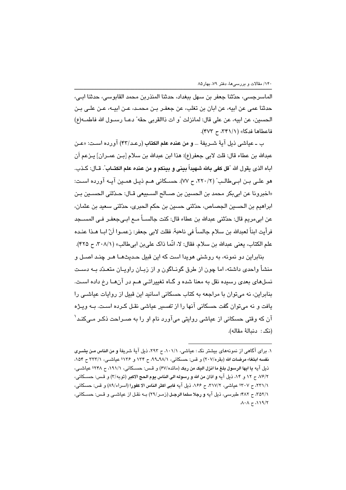الماسرجسي، حدّثنا جعفر بن سهل ببغداد، حدثنا المنذربن محمد القابوسي، حدثنا ابـي، حدثنا عمي عن ابيه، عن ابان بن تغلب، عن جعفـر بـن محمـد، عـن ابيــه، عـن علـي بـن الحسين، عن ابيه، عن على قال: لمانزلت "و ات ذاالقربي حقه" دعـا رسـول الله فاطمـه(ع) فاعطاها فدكا» (٣٢١/١، ح ٣٧٣).

ب ــ عياشي ذيل آيةً شــريفةً … **و من عنده علم الكتاب** (رعـد/۴۳) آورده اسـت: «عـن عبدالله بن عطاء قال: قلت لابي جعفر(ع): هذا ابن عبدالله بن سلام [بـن عمـران] يــزعم أن اباه الذي يقول الله "قل كفي بالله شهيداً بيني و بينكم و من عنده علم الكتــاب". قــال: كـذب. هو علـي بـن ابـي طالـب" (٢٢٠/٢، ح ٧٧). حسـكاني هـم ذيـل همـين آيـه آورده اسـت: «اخبرونا عن ابي بكر محمد بن الحسين بن صـالح السـبيعي قـال: حـدّثني الحسـين بـن ابراهيم بن الحسين الجصاص، حدّثني حسين بن حكم الحبري، حدّثني سعيد بن عثمان، عن ابيءريم قال: حدّثني عبدالله بن عطاء قال: كنت جالســاً مــع ابــيجعفـر فــي المســجد فرأيت ابناً لعبدالله بن سلام جالساً في ناحية. فقلت لابي جعفر: زعمـوا اَنّ ابــا هــذا عنـده علم الكتاب، يعني عبدالله بن سلام. فقال: لا، انَّما ذاك علي بن ابيطالب» (٣٠٨/١، ح ٣٢٥).

بنابراين دو نمونه، به روشنی هويدا است که اين قبيل حـديثهـا هـر چنـد اصـل و منشأ واحدی داشته، اما چون از طرق گونـاگون و از زبـان راویـان متعـدّد بــه دسـت نسلهای بعدی رسیده نقل به معنا شده و گـاه تغییراتـی هـم در آنهـا رخ داده اسـت. بنابراین، نه میتوان با مراجعه به کتاب حسکانی اسانید این قبیل از روایات عیاشی را يافت و نه مي توان گفت حسكاني آنها را از تفسير عياشي نقـل كـرده اسـت. بــه ويـژه آن که وقتی حسکانی از عیاشی روایتی میآورد نام او را به صـراحت ذکـر مـیکنـد ْ (نكـ : دنيالهٔ مقاله).

١. براي آگاهي از نمونههاي بيشتر نک: عياشي، ١٠١/١، ح ٢٩٣، ذيل آيهٔ شريفهٔ و من الناس مـن يشــري نفسه ابتغا، مرضات الله (بقره/٢٠٧) و قس: حسكاني، ٩٨/١-٩٩، ح ١٣۴ و ١٣۶؛ عياشــي، ٢٣٣/١ ح ١٥۴، ذيل آيه يا ايها الرسول بلغ ما انزل اليك من ربك (مائده/٤٧) و قـس: حسـكاني، ١٩١/١، ح ٢٣٨؛ عياشـي، ٧/٢/٢. ح ١٢ و ١٤، ذيل آيه و اذان من الله و رسوله الى الناس يوم الحج الاكبر (توبه/٣) و قـس: حسـكاني، ٢٢١/١، ح ٢٠٧؛ عياشي، ٣١٧/٢، ح ١۶۶، ذيل آيه فابي اكثر الناس الا كفورا (اسراء/٨٩) و قس: حسكاني، ٢٥٢/١، ح ۴٨٢: طبرسي، ذيل آيه و رجلا سلما الرجـل (زمـر/٢٩) بــه نقـل از عياشــي و قـس: حسـكاني،  $\lambda \cdot \lambda \zeta \lambda$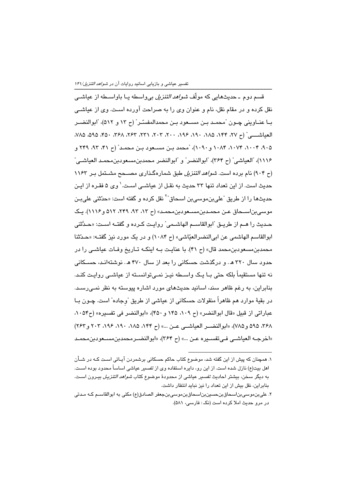قسم دوم ــ حدیثهایی که مولّف *شواهد ال*تنز*یل* بیواسطه یــا باواســطه از عیاشــی نقل کرده و در مقام نقل، نام و عنوان وی را به صراحت آورده اسـت. وی از عیاشــی بـا عنــاوینی چــون "مـحمــد بـن مســعود بـن مـحمدالمفسـّـر" (ح ١٣ و ٥١٢)، "ابوالنضــر العياشي" (ح ٢٧، ١٩٤، ١٨٥، ١٩٠، ١٩٤، ٢٠٠، ٢٠٦، ٢٢١، ٢۶٢، ٣۶٨، ٣٥٠، ٢٥٥، ٧٨٥، ۹۰۵، ۲۰۰۴، ۲۰۷۴، ۱۰۸۴ و ۱۰۹۰)، "محمد بـن مســعود بـن محمـد" (ح ۴۱، ۹۳، ۲۴۹ و ١١١۶)، "العياشي" (ح ٣۶۴)، "ابوالنضر" و "ابوالنضر محمدبنِمسعودبنِمحمـد العياشـي" (م ۹۰۴) نام برده است. *شواهد التنزیل* طبق شمارهگذاری مصــحح مشـتمل بـر ۱۱۶۳ حدیث است. از این تعداد تنها ۳۳ حدیث به نقـل از عیاشـی اسـت. ٰ وی ۵ فقـره از ایـن حديثها را از طريق ًعلىبنِموسىبن اسحاق<sup>"۲</sup> نقل كرده و گفته است: «حدّثنى علىبـن موسی بن اسـحاق عـن محمـدبن مسـعودبن محمـد» (ح ١٣، ٩٣، ٢۴٩، ٥١٢ و ١١١۶). يـک حـديث را هــم از طريــق "ابوالقاســم الهاشــمی" روايـت كــرده و گفتــه اســت: «حــدَّثنى ابوالقاسم الهاشمي عن ابي النضر العيّاشي» (ح ١٠٨۴) و در يک مورد نيز گفته: «حـدّثنا محمدبن مسعودبن محمد قال» (ح ۴۱). با عنایت بـه اینکـه تـاریخ وفـات عیاشـی را در حدود سال ۳۲۰ هـ. و درگذشت حسکانی را بعد از سال ۴۷۰ هـ. نوشتهانـد، حسـکانی نه تنها مستقیماً بلکه حتی بـا یـک واسـطه نیـز نمـی توانسـته از عیاشـی روایـت کنـد. بنابراین، به رغم ظاهر سند، اسانید حدیثهای مورد اشاره پیوسته به نظر نمـی٬رسـد. در بقيهٔ موارد هم ظاهراً منقولات حسکانی از عیاشی از طریق "وجاده" است. چــون بــا عباراتي از قبيل «قال ابوالنضر» (ح ١٠٩، ١٤٥ و ۴۵٠)، «ابوالنضر في تفسيره» (ح ١٠٥۴، ٣۶٨، ٥٩٥، و٧٨٥)، «ابوالنضير العياشي عـن ...» (ح ١۴۴، ١٨٥، ١٩٠، ١٩٤، ٢٠٣ و ٢٤٢) «اخرجــه العياشــي فــي تفســيره عـن ...» (ح ٣۶۴)، «ابوالنضــرمحمدبن مسـعودبن محمـد

۱. همچنان که پیش از این گفته شد، موضوع کتاب حاکم حسکانی برشمردن آیـاتی اسـت کـه در شــأن اهل بیت(ع) نازل شده است. از این رو، دایره استفاده وی از تفسیر عیاشی اساساً محدود بوده اسـت. به دیگر سخن، بیشتر احادیث *تفسی*ر عیاشی از محدودهٔ موضوع کتاب *شواهد التنزیل* بیـرون اسـت. بنابراین، نقل بیش از این تعداد را نیز نباید انتظار داشت.

۲. علی بن،موسی بناسـحاق بنحسـین بناسـحاق بن،موسـی بنجعفر الصـادق(ع) مکنی به ابوالقاســم کــه مــدتی در مرو حديث املا كرده است (نكـ : فارسى، ۵۸۱).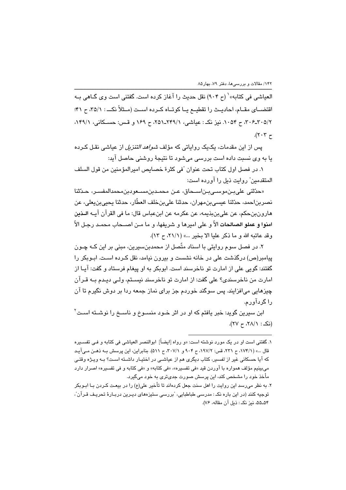العياشي في كتابه» ` (ح ٩٠۴) نقل حديث را آغاز كرده است. گفتني است وي گــاهي بــه اقتضــای مقــام، احادیــث را تقطیــع یــا کوتــاه کــرده اســت (مــثلاً نکـــ : ۳۵/۱، ح ۴۱؛ ٣٠۶-٢٠٥/٢، ح ٠٥٣. نيز نک: عياشي، ٢٣٩/١-٢٥١، ح ١٤٩ و قس: حسكاني، ١٣٩/١،  $\cdot$ (۲۰۳ $\tau$ 

یس از این مقدمات، یک یک روایاتی که مؤلف *شواهد التنزیل* از عیاشی نقـل کـرده يا به وي نسبت داده است بررسي مي شود تا نتيجهٔ روشني حاصل آيد:

١. در فصل اول كتاب تحت عنوان "في كثرة خصايص اميرالمؤمنين من قول السلف المتقدمين" روايت ذيل را آورده است:

«حدّثني على بـن موسـى بـن اسـحاق، عـن محمـدبن مسـعودبن محمدالمفسـر، حـدّثنا نصرين|حمد، حدّثنا عيسى بنِ مهران، حدثنا على بنِ خلف العطّار، حدثنا يحبى بن يعلي، عن هارون،نحكم، عن على بن بذيمه، عن عكرمه عن ابنعياس قال: ما في القرآن آيــه الــذين ا**منوا و عملو الصالحات ا**لاّ و على اميرها و شريفها، و ما مـن اصــحاب محمـد رجـل الاّ وقد عاتبه الله و ما ذكر عليا الا بخير ...» (٢١/١، ح ١٣).

۲. در فصل سوم روایتی با اسناد متّصل از محمدینِسپرین، مبنی بر این کـه چـون پیامبر(ص) درگذشت علی در خانه نشست و بیرون نیامد، نقل کـرده اسـت. ابـوبکر را گفتند: گويي علي از امارت تو ناخرسند است. ابوبکر به او پيغام فرستاد و گفت: آيـا از امارت من ناخرسندي؟ على گفت: از امارت تو ناخرسند نيسـتم، ولـى ديـدم بـه قـرآن چیزهایی می(فزایند. پس سوگند خوردم جز برای نماز جمعه ردا بر دوش نگیرم تا آن را گردآورم.

ابن سپرین گوید: خبر یافتم که او در اثر خـود منسـوخ و ناســخ را نوشــته اســت ٔ  $(YV - Y\wedge N)^2$  : (i)

۱. گفتنی است او در یک مورد نوشته است: «و رواه [ایضاً] ابوالنصر العیاشی فی کتابه و فـی تفسـیره قال ...» (١٧۴/١، ح ٢٢١، قس: ١٩٧/٢، ح ٩٠۴ و ٣٠٧/١، ح ٥١١). بنابراين، اين پرسش بـه ذهـن مـي آيـد که آیا حسکانی غیر از تفسیر، کتاب دیگری هم از عیاشـی در اختیـار داشـته اسـت؟ بـه ویـژه وقتـی میبینیم مؤلف همواره با آوردن قید «فی تفسیره»، «فی کتابه» و «فی کتابه و فی تفسیره» اصرار دارد مأخذ خود را مشخص کند، این پرسش صورت جدیتری به خود میگیرد.

۲. به نظر میرسد این روایت را اهل سنت جعل کردهاند تا تأخیر علی(ع) را در بیعـت کـردن بــا ابــوبکر توجیه کنند (در این باره نکـ : مدرسی طباطبایی، "بررسی سنیزههای دیـرین دربـارهٔ تحریـف قـرآن"، ۵۵ـ۵۴، نیز نکـ : ذیل آن مقاله، ۷۶).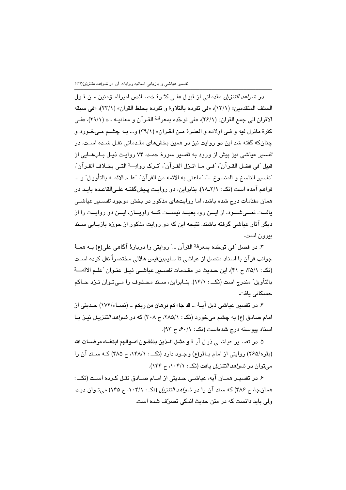در *شواهد التنزيل* مقدماتي از قبيل «في كثـرة خصـائص اميرالمـؤمنين مـن قـول السلف المتقدمين» (١٣/١)، «في تفرده بالتلاوة و تفرده بحفظ القران» (٢٣/١)، «في سبقه الاقران الى جمع القران» (٢۶/١)، «في توحّده بمعرفة القـرآن و معانيــه ...» (٢٩/١)، «فــ. كثرة مانزل فيه و فـي اولاده و العتـرة مـن القـران» (٢٩/١) و... بــه چشــم مـي خـورد و چنانکه گفته شد این دو روایت نیز در همین بخشهای مقـدماتی نقـل شـده اسـت. در تفسیر عیاشی نیز پیش از ورود به تفسیر سورهٔ حمـد، ۷۴ روایـت ذیـل بـابـهـایی از قبيل "في فضل القـرآن"، "فـي مـا انـزل القـرآن"، "تـرِك روايـــة التـي بخـلاف القـرآن"، "تفسير الناسخ و المنسوخ ..."، "ماعني به الائمه من القرآن"، "علـم الائمــه بالتأويـل" و ... فراهم آمده است (نک : ١٨ـ١٨). بنابراين، دو روايت پيشگفتـه علـىالقاعـده بايـد در همان مقدّمات درج شده پاشد، اما روایتهای مذکور در پخش موجود *تفسییر* عباش*تی* یافت نمــیشــود. از ایــن رو، بعیــد نیســت کــه راویــان، ایــن دو روایــت را از دیگر آثار عیاشی گرفته باشند. نتیجه این که دو روایت مذکور از حوزه بازیـابی سـند بيرون است.

٣. در فصل "في توحَّده بمعرفة القرآن ..." روايتي را دربارةَ آگاهي على(ع) بــه همــهٔ جوانب قرآن با اسناد متصل از عیاشی تا سلیمبنقیس هلالی مختصراً نقل کرده است (نکه: ٣٥/١، ح ۴١). اين حـديث در مقـدمات تفسـير عياشـي ذيـل عنـوان "علـم الائمــــة بالتأویل" مندرج است (نکـــ : ۱۴/۱). بنــابراین، ســند مـحـذوف را مــیتـوان نــزد حــاکم حسكانى يافت.

۴. در تفسیر عیاشی ذیل آیـهٔ … قد جا، کم برهان من ربکم … (نســاء/۱۷۴) حـدیثی از امام صادق (ع) به چشم میخورد (نک: ٨٨٥/١، ح ٣٠٨) که در *شواهد التنزیل* نیـز بـا اسناد پیوسته درج شدهاست (نک: ۶۰/۱٪ ح ۹۳).

۵. در تفســير عياشــي ذيـل آيــهٔ و مثــل الــذين ينفقــون امــوالهم ابتغــا، مرضــات الله (بقره/۲۶۵) روایتی از امام باقر(ع) وجـود دارد (نکـــ : ۱۴۸/۱، ح ۴۸۵) کــه ســند آن را مه توان در *شواهد التنزیل* یافت (نکه: ۰۴/۱، ح ۱۴۴).

۶. در تفسیر همـان آیه، عیاشـی حـدیثی از امـام صـادق نقـل کـرده اسـت (نکــ : همانجا، ح ۴۸۶) که سند آن را در *شواهد التنزیل* (نک: ۰۴/۱، ح ۱۴۵) می تـوان دیـد، ولی باید دانست که در متن حدیث اندکی تصرّف شده است.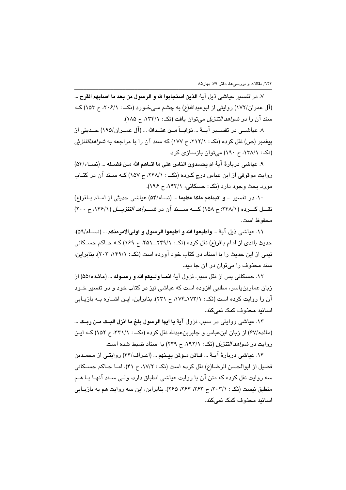٧. در تفسير عياشي ذيل آيهٔ الذين استجابوا لله و الرسول من بعد ما اصابهم القرح ... (آل عمران/۱۷۲) روایتی از ابوعبدالله(ع) به چشم مـهخـورد (نکـــ : ۲۰۶/۱، ح ۱۵۳) کــه سند آن را در *شواهد التنزیل* می توان یافت (نکه: ۱۳۴/۱، ح ۱۸۵).

٨. عياشـــي در تفســير آيـــهٔ ... **ثوابـــاً مــن عنــدالله** ... (آل عمــران/١٩٥) حــديثي از پیغمبر (ص) نقل کرده (نک: ۲۱۲/۱، ح ۱۷۷) که سند آن را با مراجعه به *شواهدالتنزیل* (نکه: ۱۳۸/۱، ح ۱۹۰) می توان بازسازی کرد.

٩. عياشي دربارةَ آيةَ ام يحسدون الناس على ما اتّاهم الله مـن فضـله ... (نســاء/٥۴) روایت موقوفی از این عباس درج کرده (نک): ۲۴۸/۱، ح ۱۵۷) کـه سـند آن در کتـاب مورد بحث وجود دارد (نکه: حسکانی، ۱۴۳/۱، ح ۱۹۶).

١٠. در تفسير … و اتيناهم ملكا عظيما … (نساء/٥۴) عياشي حديثي از امـام بـاقر(ع) نقسل کسرده (٢۴٨/١): ح ١٥٨) کسه سسند آن در ش*سولهد التنزیسل* (١٢۶/١، ح ٢٠٠) محفوظ است.

١١. عياشي ذيل آيةُ ... واطيعوا الله و اطيعوا الرسول و اولىالامرمنكم ... (نســاء/٥٩)، حدیث بلندی از امام باقر(ع) نقل کرده (نکه: ۲۴۹/۱\_۲۵۹، ح ۱۶۹) کـه حـاکم حسـکانی نیمی از این حدیث را با اسناد در کتاب خود آورده است (نکه: ۱۴۹/۱، ۲۰۳). بنابراین، سند محذوف را مے توان در آن جا دید.

١٢. حسكاني پس از نقل سبب نزول آية انمــا ولــبكم الله و رســوله … (مائـده/۵۵) از زبان عماربنیاسر، مطلبی افزوده است که عیاشی نیز در کتاب خود و در تفسیر خـود آن را روایت کرده است (نکه: ۱۷۳/۱-۱۷۳)، م ۲۳۱). بنابراین، ایـن اشــاره بــه بازیــابی اسانند محذوف کمک نمے کند.

١٣. عياشي روايتي در سبب نزول آيةً ما ا**بها الرسول بلغ ما انزل البــک مــن ربــک** ... (مائده/۶۷) از زبان ابنِ عباس و جابربنِ عبدالله نقل کرده (نکــ : ۳۳۱/۱، ح ۱۵۲) کـه ايـن روایت در *شواهد التنزیل* (نکه: ۱۹۲/۱، ح ۲۴۹) یا اسناد ضبط شده است.

۱۴. عیاشی دربارهٔ آیـهٔ … **فـاذن سوذن بیــنهم** … (اعـراف/۴۴) روایتـی از محمـدبن فضيل از ابوالحسن الرضا(ع) نقل كرده است (نكـ : ١٧/٢، ح ۴١)، امــا حــاكم حســكاني سه روایت نقل کرده که متن آن با روایت عیاشی انطباق دارد، ولـی سـند آنهـا بـا هـم منطبق نیست (نک: ۲۰۳/۱، ح ۲۶۳، ۲۶۴، ۲۶۵). بنابراین، این سه روایت هم به بازیبابی اسانید محذوف کمک نمے کند.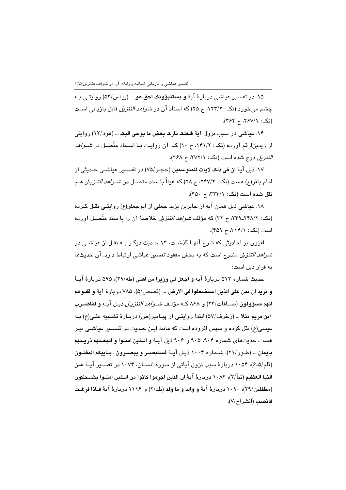۱۵. در تفسیر عیاشی دربارهٔ آیهٔ **و یستنبؤونک احق هو** … (یونس/۵۳) روایتـی بـه چشم می خورد (نک : ۱۲۳/۲، ح ۲۵) که اسناد آن در *شواهد التنزیل* قابل بازیابی است (نک: ۲۶۷/۱، ح ۳۶۴).

۱۶. عیاشی در سبب نزول آیهٔ ف**لعلک تارک بعض ما یوحی الیک** … (هود/۱۲) روایتی از زیدبنارقم آورده (نکه: ۱۴۱/۲، ح ۱۰) کـه آن روایـت بـا اسـناد متّصـل در *شـواهد* التنزيل درج شده است (نک: ٢٧٢/١، ح ٣۶٨).

١٧. ذيل آيةَ ان في ذلك لامات للمتوسمين (حجـر /٧٥) در ت*فســير* عياشــي حـديثي از امام باقر(ع) هست (نک : ۲/۲۷/۲، ح ۲۸) که عیناً با سند متصــل در *شــواهد التنزیـل هــ*م نقل شده است (نک: ٣٢٣/١، ح ٣٥٠).

١٨. عياشي ذيل همان آيه از جابرين يزيد جعفي از ابوجعفر(ع) روايتي نقـل كـرده (نکه: ۲۴۸/۲ـ۲۴۸/۲، ح ۳۲) که مؤلف *شواهد التنزیل* خلاصهٔ آن را با سند متّصـل آورده است (نک: ۳۲۴/۱، ح ۴۵۱).

افزون بر احادیثی که شرح آنهـا گذشـت، ۱۳ حـدیث دیگـر بـه نقـل از عیاشـی در *شواهد التنزیل* مندرج است که به بخش مفقود *تفسی*ر عیاشی ارتباط دارد. آن حدیثها به قرار ذیل است:

حديث شماره ٥١٢ دربارهٔ آيه و ا**جعل لي وزيرا من اهلي (ط**٢٩/٠)، ٥٩۵ دربارهٔ آيــهٔ و نريد ان نمن علي الذين استضعفوا في الارض … (قصص/۵)، ٧٨٥ دريارةَ آيةً و قفــوهم ا**نهم مسؤولون** (صــافات/٢۴) و ٨۶٨ كــه مؤلـف *شــواهد التنزيـل* ذيـل آيــه **و لمّاضــرب** ابن مريم مثلا … (زخرف/۵۷) ابتدا روايتـي از پيـامبر(ص) دربـارهٔ تشـبيه علـي(ع) بـه عیسی(ع) نقل کرده و سپس افزوده است که مانند ایـن حـدیث در تفســبر عیاشــی نیـز هست. حديثهاي شماره ٩٠٤، ٩٠٥ و ٩٠۶ ذيل آيـهٔ و الـذين امنـوا و اتبعـتهم ذريـتهم بايمان ... (طـور/٢١)، شـماره ١٠٠۴ ذيـل آيــهٔ فستبصــر و يبصــرون . بــاييكم المفتــون (قلم/۵ـ۶)، ۱۰۵۴ دربارهٔ سبب نزول آیاتی از سورهٔ انســان، ۱۰۷۴ در تفسـیر آیــهٔ عـن النبا العظيم (نبأ/٢)، ١٠٨۴ دريارة آيةً ان الذين اجرموا كانوا من الـذين امنـوا يضــحكون (مطففين/٢٩)، ١٠٩٠ دربارهٔ آيهٔ و والد و ما ولد (بلد/٢) و ١١١۶ دربارهٔ آيهٔ فـاذا فرغـت فانصب (انشراح/٧).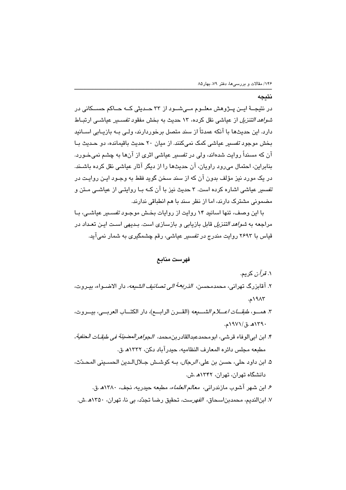#### نتىجە

در نتیجــهٔ ایــن پــژوهش معلــوم مــی،شــود از ۳۳ حــدیثی کــه حــاکم حســکانی در *شواهد التنزیل* از عیاشی نقل کرده، ۱۳ حدیث به بخش مفقود *تفس*ــیر عیاشــی ارتبــاط دارد. این حدیثها با آنکه عمدتاً از سند متصل برخوردارند، ولـی بـه بازیـابی اســانید بخش موجود تفسیر عیاشی کمک نمی کنند. از میان ۲۰ حدیث باقیمانده، دو حـدیث بـا آن که مسنداً روایت شدهاند، ولی در ت*فسیر* عیاش*ی* اثری از آنها به چشم نمیخـورد. بنابراین، احتمال می رود راویان، آن حدیثها را از دیگر آثار عیاشی نقل کرده باشـند. در یک مورد نیز مؤلف بدون آن که از سند سخن گوید فقط به وجـود ایـن روایـت در تفسس عباشی اشاره کرده است. ۳ حدیث نیز یا آن کیه ییا روایتی از عباشی میتن و مضمونی مشترک دارند، اما از نظر سند با هم انطباقی ندارند.

با این وصف، تنها اسانید ۱۴ روایت از روایات بخش موجـود تفسـیر عیاشـی، بـا مراجعه به *شواهد التنزیل* قابل بازیابی و بازسازی است. بـدیهی اسـت ایـن تعـداد در قیاس با ۲۶۹۳ روایت مندرج در *تفسیر* عیاش*ی،* رقم چشمگیری به شمار نمی آید.

### فهرست منابع

- ۰۱ *قرآن* کريم. ٢. آقابزرگ تهرانی، محمدمحسن، *الذريعة الی تصانيف الشيعه،* دار الاضــواء، بيــروت، ١٩٨٣م. ٣. همــو، طبقــــات اعــــلام الشــــيعه (القـــرن الرابـــع)، دار الكتـــاب العربـــى، بيـــروت، ١٣٩٠هـ.ق/١٩٧١م. ۴. ابن ابي|لوفاء قرشي، ابومحمدعبدالقادربنمحمد، ا*لجواهرالمضيئة في طبقــات الحنفية*، مطبعه مجلس دائره المعارف النظاميه، حيدرآباد دكن، ١٣٣٢هـ.ق. ۵. ابن داود حلي، حسن بن علي، *الرجال،* بـه كوشـش جـلالالـدين الحسـيني المحـدّث،
- دانشگاه تهران، تهران، ۱۳۴۲هـ.ش.
	- ۶. ابن شهر آشوب مازندران*ی، معالم العلماء،* مطبعه حیدریه، نجف، ۱۳۸۰هـ.ق.
- ۷. ابنالندیم، محمدبناسحاق، *الفهرست،* تحقیق رضا تجدّد، بی نا، تهران، ۱۳۵۰ه .ش.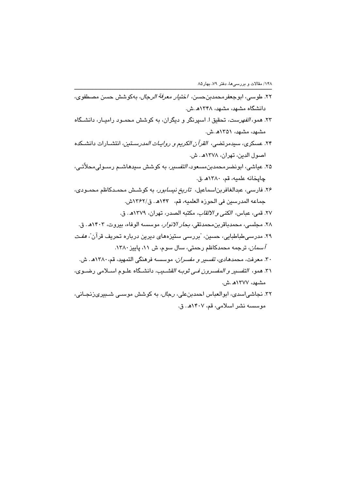- ۲۲. طوسی، ابوجعفرمحمدبنحسن، اختی*ار معرفة الرجال*، بهکوشش حسن مصطفوی، دانشگاه مشهد، مشهد، ۱۳۴۸هـ.ش.
- ۲۳. همو، *الفهرست،* تحقیق ا. اسپرنگر و دیگران، به کوشش محمـود رامیـار، دانشـگاه مشهد، مشهد، ۱۳۵۱هـ.ش.
- ۲۴. عسكرى، سيدمرتضى، ا*لقرآن الكريم و روايـات المدرسـتين،* انتشـارات دانشـكده اصول الدين، تهران، ١٣٧٨هـ. ش.
- ۲۵. عیاشی، ابونضر،محمدبن،س*ىعود، التفسیر،* به کوشش سیدهاشـم رسـولی،محلاّتـی، چاپخانه علميه، قم، ١٣٨٠هـ.ق.
- ۲۶. فارسی، عبدالغافربناسماعیل، ت*اریخ نیسابور،* به کوشش محمـدکاظم محمـودی، جماعه المدرسين في الحوزه العلميه، قم، ١٣٤٣هـ. ق/١٣۶٢ش.
	- ٢٧. قمي، عباس، الكني و الالقاب، مكتبه الصدر، تهران، ١٣٧٩هـ. ق.
- ۲۸. مجلسی، محمدباقربن محمدتقی، *بحار الانوار،* موسسه الوفاء، بیروت، ۱۴۰۳هـ. ق. ۲۹. مدرسی طباطبایی، حسین، "بررسی سنیزههای دیرین درباره تحریف قرآن"، *هف*ت *آسمان،* ترجمه محمدکاظم رحمتی، سال سوم، ش ۱۱، پاییز ۱۳۸۰.
- ۳۰. معرفت، محمدهادی، *تفسیر و مفسران،* موسسه فرهنگی التمهید، قم، ۱۳۸۰هـ. ش. ٣١. همو، ا*لتفسير و المفسرون فـي ثوبـه القشــيب،* دانشــگاه علــوم اســلامي رضــوي،
- مشهد، ۱۳۷۷هـ ش. ۳۲. نجاشی اسدی، ابوالعباس احمدبن علی، *رجال،* به کوشش موســی شــبیریزنجـانی، موسسه نشر اسلامي، قم، ۱۴۰۷هـ. ق.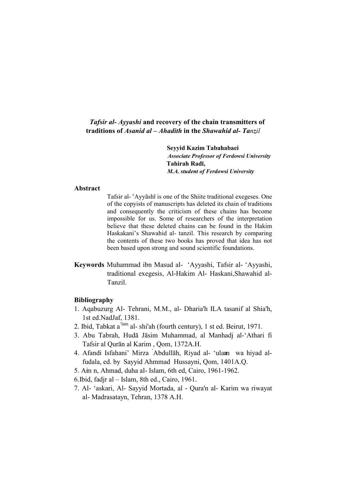# Tafsir al- Ayyashi and recovery of the chain transmitters of traditions of Asanid al  $-A$ hadith in the Shawahid al-Tanzil

Seyyid Kazim Tabahabaei **Associate Professor of Ferdowsi University Tahirah Radī.** M.A. student of Ferdowsi University

### **Abstract**

Tafsir al- <sup>c</sup>Ayyash<sub>1</sub> is one of the Shiite traditional exegeses. One of the copyists of manuscripts has deleted its chain of traditions and consequently the criticism of these chains has become impossible for us. Some of researchers of the interpretation believe that these deleted chains can be found in the Hakim Haskakani's Shawahid al-tanzil. This research by comparing the contents of these two books has proved that idea has not been based upon strong and sound scientific foundations.

Keywords Muhammad ibn Masud al- 'Ayyashi, Tafsir al- 'Ayyashi, traditional exegesis, Al-Hakim Al- Haskani, Shawahid al-Tanzil

### **Bibliography**

- 1. Agabuzurg Al- Tehrani, M.M., al- Dharia'h ILA tasanif al Shia'h, 1st ed.NadJaf, 1381.
- 2. Ibid, Tabkat a<sup>'lam</sup> al- shi'ah (fourth century), 1 st ed. Beirut, 1971.
- 3. Abu Tabrah, Hudā Jāsim Muhammad, al Manhadi al-'Athari fi Tafsir al Qurān al Karim, Qom, 1372A.H.
- 4. Afandi Isfahani' Mirza Abdullāh, Riyad al- 'ulam wa hiyad alfudala, ed. by Sayyid Ahmmad Hussayni, Qom, 1401A.Q.
- 5. Am n, Ahmad, duha al- Islam, 6th ed, Cairo, 1961-1962.
- 6. Ibid, fadjr al Islam, 8th ed., Cairo, 1961.
- 7. Al- 'askari, Al- Sayyid Mortada, al Qura'n al- Karim wa riwayat al- Madrasatayn, Tehran, 1378 A.H.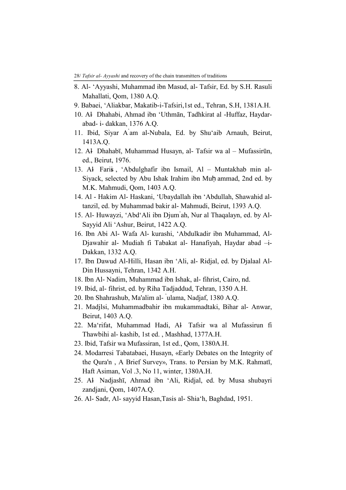- 8. Al- 'Ayyashi, Muhammad ibn Masud, al- Tafsir, Ed. by S.H. Rasuli Mahallati, Qom, 1380 A.Q.
- 9. Babaei. 'Aliakbar, Makatib-i-Tafsiri.1st ed., Tehran, S.H. 1381A.H.
- 10. Al Dhahabi, Ahmad ibn 'Uthmān, Tadhkirat al -Huffaz, Haydarabad- i- dakkan, 1376 A.Q.
- 11. Ibid, Siyar A am al-Nubala, Ed. by Shu'aib Arnauh, Beirut, 1413A.Q.
- 12. Al Dhahabī, Muhammad Husayn, al- Tafsir wa al Mufassirūn, ed., Beirut, 1976.
- 13. Al Faris, 'Abdulghafir ibn Ismail, Al Muntakhab min al-Siyack, selected by Abu Ishak Irahim ibn Muh ammad, 2nd ed. by M.K. Mahmudi, Qom, 1403 A.Q.
- 14. Al Hakim Al- Haskani, 'Ubaydallah ibn 'Abdullah, Shawahid altanzil, ed. by Muhammad bakir al- Mahmudi, Beirut, 1393 A.Q.
- 15. Al- Huwayzi, 'Abd'Ali ibn Djum ah, Nur al Thaqalayn, ed. by Al-Sayyid Ali 'Ashur, Beirut, 1422 A.Q.
- 16. Ibn Abi Al- Wafa Al- kurashi, 'Abdulkadir ibn Muhammad, Al-Djawahir al- Mudiah fi Tabakat al- Hanafiyah, Haydar abad -i-Dakkan, 1332 A.Q.
- 17. Ibn Dawud Al-Hilli, Hasan ibn 'Ali, al- Ridjal, ed. by Djalaal Al-Din Hussayni, Tehran, 1342 A.H.
- 18. Ibn Al- Nadim, Muhammad ibn Ishak, al- fihrist, Cairo, nd.
- 19. Ibid, al- fihrist, ed. by Riha Tadjaddud, Tehran, 1350 A.H.
- 20. Ibn Shahrashub, Ma'alim al- ulama, Nadjaf, 1380 A.Q.
- 21. Madjlsi, Muhammadbahir ibn mukammadtaki, Bihar al-Anwar, Beirut, 1403 A.Q.
- 22. Ma'rifat, Muhammad Hadi, Al Tafsir wa al Mufassirun fi Thawbihi al- kashib, 1st ed., Mashhad, 1377A.H.
- 23. Ibid, Tafsir wa Mufassiran, 1st ed., Qom, 1380A.H.
- 24. Modarresi Tabatabaei, Husayn, «Early Debates on the Integrity of the Qura'n, A Brief Survey», Trans. to Persian by M.K. Rahmatī, Haft Asiman, Vol.3, No 11, winter, 1380A.H.
- 25. Al Nadjashī, Ahmad ibn 'Ali, Ridjal, ed. by Musa shubayri zandjani, Qom, 1407A.Q.
- 26. Al- Sadr, Al- sayyid Hasan, Tasis al- Shia'h, Baghdad, 1951.